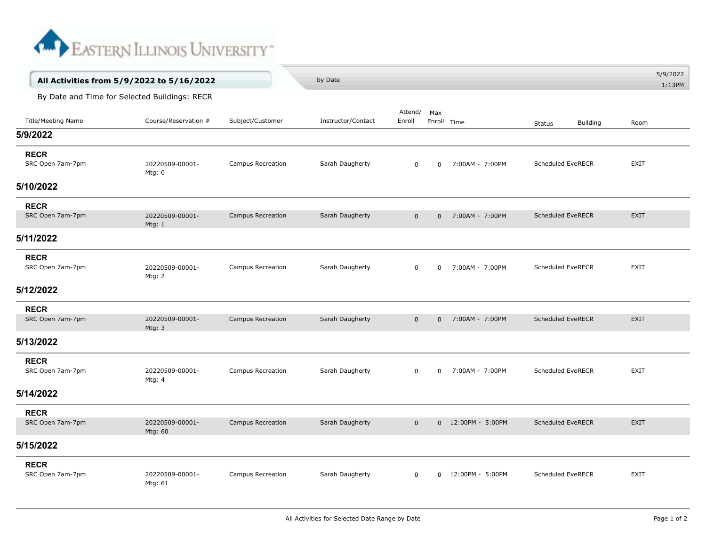

|                                               | All Activities from 5/9/2022 to 5/16/2022 |                          | by Date            |                   |                |                    |                                  | 5/9/2022<br>1:13PM |  |  |  |  |
|-----------------------------------------------|-------------------------------------------|--------------------------|--------------------|-------------------|----------------|--------------------|----------------------------------|--------------------|--|--|--|--|
| By Date and Time for Selected Buildings: RECR |                                           |                          |                    |                   |                |                    |                                  |                    |  |  |  |  |
| <b>Title/Meeting Name</b>                     | Course/Reservation #                      | Subject/Customer         | Instructor/Contact | Attend/<br>Enroll | Max            | Enroll Time        | <b>Building</b><br><b>Status</b> | Room               |  |  |  |  |
| 5/9/2022                                      |                                           |                          |                    |                   |                |                    |                                  |                    |  |  |  |  |
| <b>RECR</b><br>SRC Open 7am-7pm               | 20220509-00001-<br>Mtg: 0                 | Campus Recreation        | Sarah Daugherty    | $\mathbf 0$       | $\Omega$       | 7:00AM - 7:00PM    | Scheduled EveRECR                | <b>EXIT</b>        |  |  |  |  |
| 5/10/2022                                     |                                           |                          |                    |                   |                |                    |                                  |                    |  |  |  |  |
| <b>RECR</b>                                   |                                           |                          |                    |                   |                |                    |                                  |                    |  |  |  |  |
| SRC Open 7am-7pm                              | 20220509-00001-<br>Mtg: $1$               | Campus Recreation        | Sarah Daugherty    | $\mathbf 0$       | $\overline{0}$ | 7:00AM - 7:00PM    | <b>Scheduled EveRECR</b>         | <b>EXIT</b>        |  |  |  |  |
| 5/11/2022                                     |                                           |                          |                    |                   |                |                    |                                  |                    |  |  |  |  |
| <b>RECR</b><br>SRC Open 7am-7pm               | 20220509-00001-<br>Mtg: 2                 | Campus Recreation        | Sarah Daugherty    | $\mathsf{O}$      | $\mathbf 0$    | 7:00AM - 7:00PM    | Scheduled EveRECR                | <b>EXIT</b>        |  |  |  |  |
| 5/12/2022                                     |                                           |                          |                    |                   |                |                    |                                  |                    |  |  |  |  |
| <b>RECR</b>                                   |                                           |                          |                    |                   |                |                    |                                  |                    |  |  |  |  |
| SRC Open 7am-7pm                              | 20220509-00001-<br>Mtg: $3$               | Campus Recreation        | Sarah Daugherty    | $\mathbf 0$       | $\mathbf 0$    | 7:00AM - 7:00PM    | <b>Scheduled EveRECR</b>         | <b>EXIT</b>        |  |  |  |  |
| 5/13/2022                                     |                                           |                          |                    |                   |                |                    |                                  |                    |  |  |  |  |
| <b>RECR</b><br>SRC Open 7am-7pm               | 20220509-00001-<br>Mtg: 4                 | Campus Recreation        | Sarah Daugherty    | $\mathbf 0$       | 0              | 7:00AM - 7:00PM    | Scheduled EveRECR                | <b>EXIT</b>        |  |  |  |  |
| 5/14/2022                                     |                                           |                          |                    |                   |                |                    |                                  |                    |  |  |  |  |
| <b>RECR</b><br>SRC Open 7am-7pm               | 20220509-00001-                           | <b>Campus Recreation</b> | Sarah Daugherty    | $\mathbf 0$       |                | 0 12:00PM - 5:00PM | <b>Scheduled EveRECR</b>         | <b>EXIT</b>        |  |  |  |  |
|                                               | Mtg: 60                                   |                          |                    |                   |                |                    |                                  |                    |  |  |  |  |
| 5/15/2022                                     |                                           |                          |                    |                   |                |                    |                                  |                    |  |  |  |  |
| <b>RECR</b><br>SRC Open 7am-7pm               | 20220509-00001-<br>Mtg: 61                | Campus Recreation        | Sarah Daugherty    | $\mathbf 0$       | $\Omega$       | 12:00PM - 5:00PM   | <b>Scheduled EveRECR</b>         | <b>EXIT</b>        |  |  |  |  |